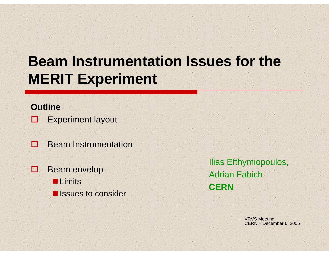# **Beam Instrumentation Issues for the MERIT Experiment**

#### **Outline**

- о Experiment layout
- П Beam Instrumentation
- O Beam envelop **Limits E** Issues to consider

Ilias Efthymiopoulos, Adrian Fabich**CERN**

> VRVS Meeting CERN – December 6, 2005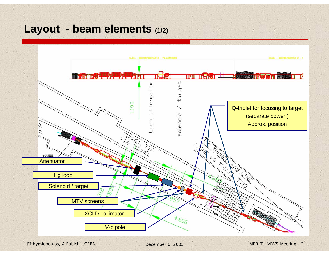## **Layout - beam elements (1/2)**

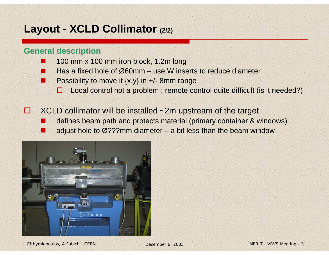## **Layout - XCLD Collimator (2/2)**

#### **General description General description**

T

- T 100 mm x 100 mm iron block, 1.2m long
- T Has a fixed hole of Ø60mm – use W inserts to reduce diameter
- $\mathbb{R}^n$ Possibility to move it  $\{x,y\}$  in  $\pm$ /-8mm range
	- 0 Local control not a problem ; remote control quite difficult (is it needed?)
- П XCLD collimator will be installed ~2m upstream of the target
	- defines beam path and protects material (primary container & windows)
	- adjust hole to  $\varnothing$ ???mm diameter a bit less than the beam window

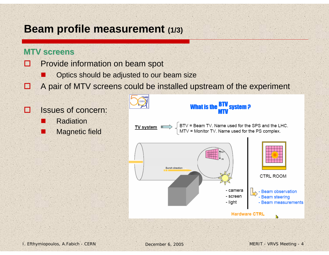## **Beam profile measurement (1/3)**

#### **MTV screens**

- П Provide information on beam spot
	- T Optics should be adjusted to our beam size
- R A pair of MTV screens could be installed upstream of the experiment

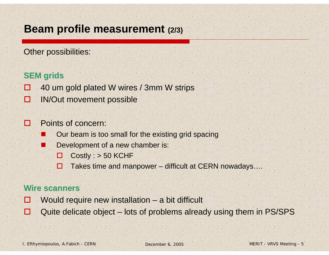## **Beam profile measurement (2/3)**

Other possibilities:

#### **SEM grids SEM grids**

- **The Second State** 40 um gold plated W wires / 3mm W strips
- $\Box$ IN/Out movement possible

#### П Points of concern:

- $\mathbb{R}^n$ Our beam is too small for the existing grid spacing
- T Development of a new chamber is:
	- П Costly : > 50 KCHF
	- П Takes time and manpower – difficult at CERN nowadays….

#### **Wire scanners Wire scanners**

- **A** Would require new installation – a bit difficult
- Е Quite delicate object – lots of problems already using them in PS/SPS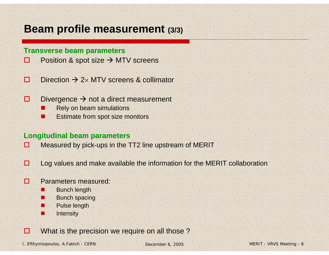## **Beam profile measurement (3/3)**

#### **Transverse beam parameters**

- $\Box$ Position & spot size  $\rightarrow$  MTV screens
- П  $\square$  Direction  $\rightarrow$  2x MTV screens & collimator
- □ Divergence  $\rightarrow$  not a direct measurement
	- Rely on beam simulations
	- Π Estimate from spot size monitors

#### **Longitudinal beam parameters Longitudinal beam parameters**

- □ Measured by pick-ups in the TT2 line upstream of MERIT
- □ Log values and make available the information for the MERIT collaboration

#### п Parameters measured:

H

П

×

Π

П

- Bunch length
- Bunch spacing
- Pulse length
- **Intensity**

О What is the precision we require on all those ?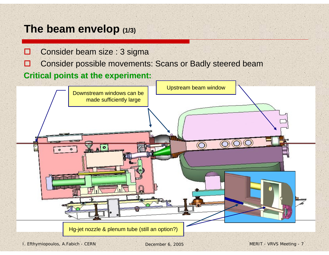## **The beam envelop (1/3)**

- П Consider beam size : 3 sigma
- E Consider possible movements: Scans or Badly steered beam

#### **Critical points at the experiment: Critical points at the experiment:**

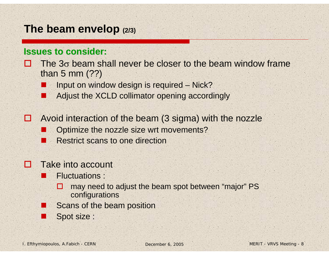### **The beam envelop (2/3)**

#### **Issues to consider: Issues to consider:**

- H The 3<sup>σ</sup> beam shall never be closer to the beam window frame than 5 mm (??)
	- Input on window design is required Nick?
	- Adjust the XCLD collimator opening accordingly
- I۰ Avoid interaction of the beam (3 sigma) with the nozzle
	- Optimize the nozzle size wrt movements?
	- ang<br>Kabupatèn Restrict scans to one direction

#### П Take into account

T.

- Fluctuations :
	- п may need to adjust the beam spot between "major" PS configurations
- Scans of the beam position
- Spot size :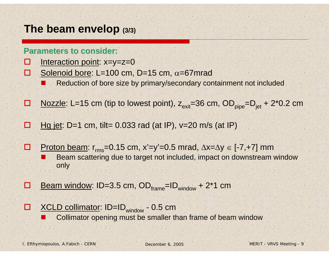## **The beam envelop (3/3)**

#### **Parameters to consider:**

- $\blacksquare$ Interaction point: x=y=z=0
- П Solenoid bore: L=100 cm, D=15 cm,  $\alpha$ =67 mrad
	- T Reduction of bore size by primary/secondary containment not included
- П <u>Nozzle</u>: L=15 cm (tip to lowest point),  $z_{\text{exit}}$ =36 cm, OD<sub>pipe</sub>=D<sub>iet</sub> + 2<sup>\*</sup>0.2 cm
- Е Hg jet: D=1 cm, tilt=  $0.033$  rad (at IP),  $v=20$  m/s (at IP)
- О Proton beam:  $r_{rms}$ =0.15 cm, x'=y'=0.5 mrad,  $\Delta x = \Delta y \in [-7, +7]$  mm T Beam scattering due to target not included, impact on downstream window only
- $\blacksquare$ **D** Beam window: ID=3.5 cm,  $OD_{frame} = ID_{window} + 2*1$  cm
- $\Box$ □ XCLD collimator: ID=ID<sub>window</sub> - 0.5 cm  $\mathbb{R}^n$ 
	- Collimator opening must be smaller than frame of beam window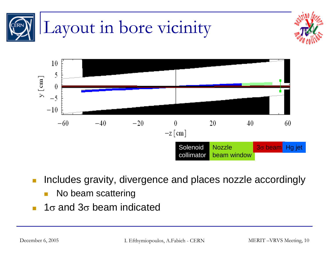

- $\mathbb{R}^n$  Includes gravity, divergence and places nozzle accordingly
	- П No beam scattering
- F 1 $\sigma$  and 3 $\sigma$  beam indicated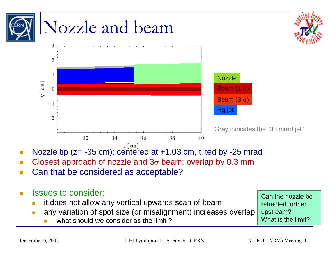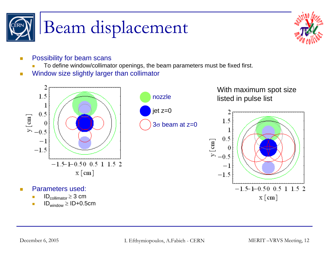



- T. Possibility for beam scans
	- To define window/collimator openings, the beam parameters must be fixed first.
- $\Box$ Window size slightly larger than collimator

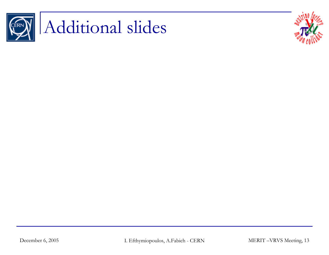

# Additional slides